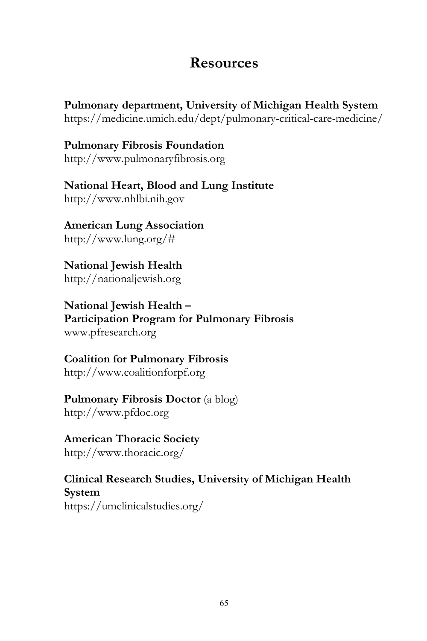### **Resources**

**Pulmonary department, University of Michigan Health System** https://medicine.umich.edu/dept/pulmonary-critical-care-medicine/

**Pulmonary Fibrosis Foundation** http://www.pulmonaryfibrosis.org

**National Heart, Blood and Lung Institute** http://www.nhlbi.nih.gov

**American Lung Association** http://www.lung.org/#

**National Jewish Health** http://nationaljewish.org

**National Jewish Health – Participation Program for Pulmonary Fibrosis** www.pfresearch.org

**Coalition for Pulmonary Fibrosis** http://www.coalitionforpf.org

**Pulmonary Fibrosis Doctor** (a blog) http://www.pfdoc.org

**American Thoracic Society** http://www.thoracic.org/

**Clinical Research Studies, University of Michigan Health System** https://umclinicalstudies.org/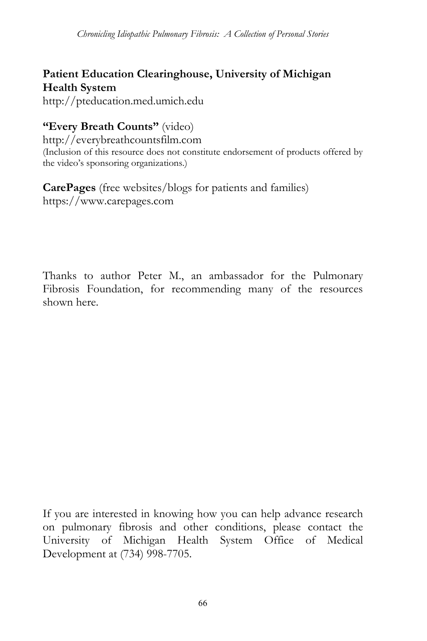#### **Patient Education Clearinghouse, University of Michigan Health System**

http://pteducation.med.umich.edu

#### **"Every Breath Counts"** (video)

http://everybreathcountsfilm.com (Inclusion of this resource does not constitute endorsement of products offered by the video's sponsoring organizations.)

**CarePages** (free websites/blogs for patients and families) https://www.carepages.com

Thanks to author Peter M., an ambassador for the Pulmonary Fibrosis Foundation, for recommending many of the resources shown here.

If you are interested in knowing how you can help advance research on pulmonary fibrosis and other conditions, please contact the University of Michigan Health System Office of Medical Development at (734) 998-7705.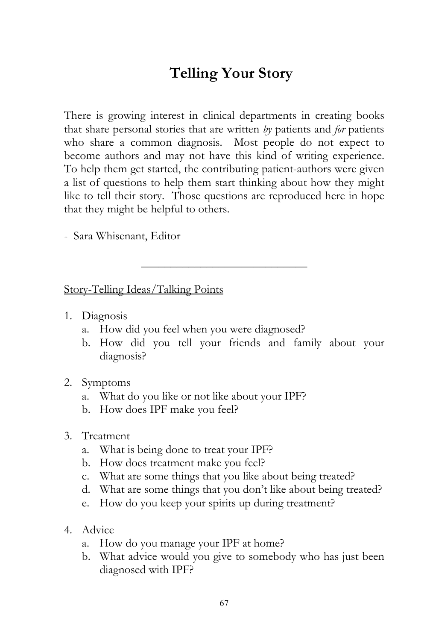# **Telling Your Story**

There is growing interest in clinical departments in creating books that share personal stories that are written *by* patients and *for* patients who share a common diagnosis. Most people do not expect to become authors and may not have this kind of writing experience. To help them get started, the contributing patient-authors were given a list of questions to help them start thinking about how they might like to tell their story. Those questions are reproduced here in hope that they might be helpful to others.

\_\_\_\_\_\_\_\_\_\_\_\_\_\_\_\_\_\_\_\_\_\_\_\_\_\_\_\_

- Sara Whisenant, Editor

Story-Telling Ideas/Talking Points

- 1. Diagnosis
	- a. How did you feel when you were diagnosed?
	- b. How did you tell your friends and family about your diagnosis?
- 2. Symptoms
	- a. What do you like or not like about your IPF?
	- b. How does IPF make you feel?
- 3. Treatment
	- a. What is being done to treat your IPF?
	- b. How does treatment make you feel?
	- c. What are some things that you like about being treated?
	- d. What are some things that you don't like about being treated?
	- e. How do you keep your spirits up during treatment?
- 4. Advice
	- a. How do you manage your IPF at home?
	- b. What advice would you give to somebody who has just been diagnosed with IPF?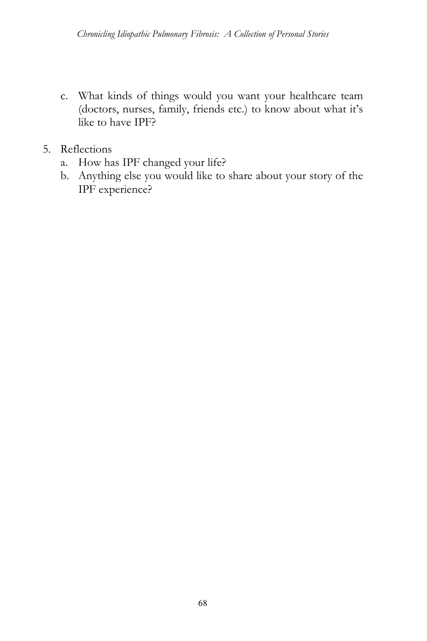- c. What kinds of things would you want your healthcare team (doctors, nurses, family, friends etc.) to know about what it's like to have IPF?
- 5. Reflections
	- a. How has IPF changed your life?
	- b. Anything else you would like to share about your story of the IPF experience?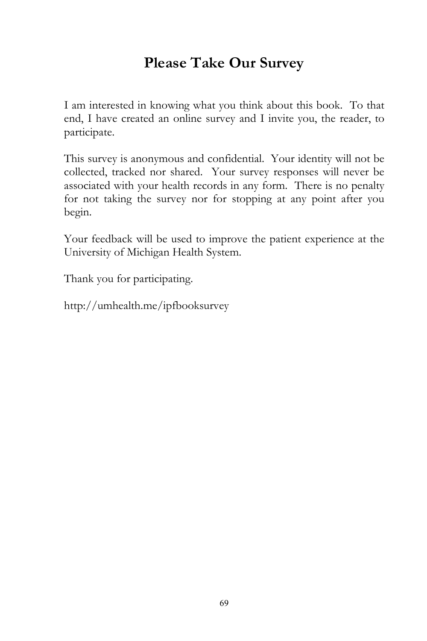# **Please Take Our Survey**

I am interested in knowing what you think about this book. To that end, I have created an online survey and I invite you, the reader, to participate.

This survey is anonymous and confidential. Your identity will not be collected, tracked nor shared. Your survey responses will never be associated with your health records in any form. There is no penalty for not taking the survey nor for stopping at any point after you begin.

Your feedback will be used to improve the patient experience at the University of Michigan Health System.

Thank you for participating.

http://umhealth.me/ipfbooksurvey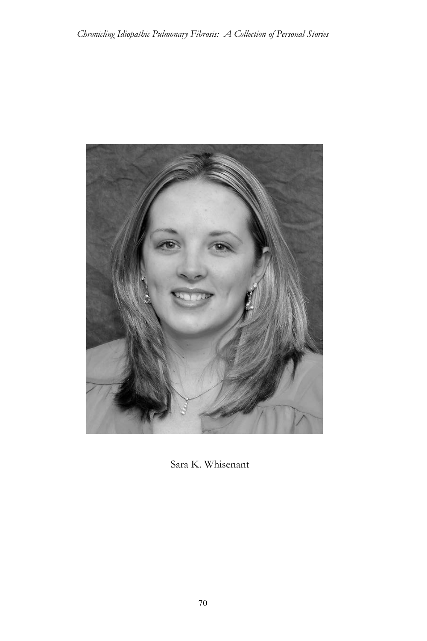

Sara K. Whisenant